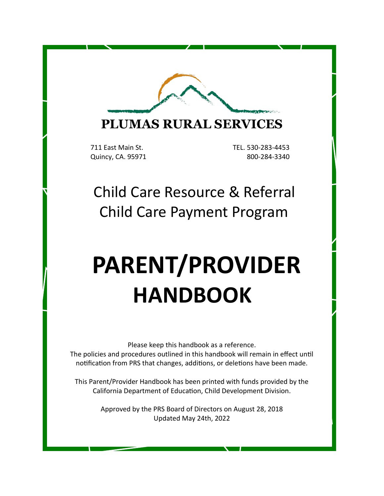

# **PLUMAS RURAL SERVICES**

711 East Main St. TEL. 530-283-4453

Quincy, CA. 95971 800-284-3340

# Child Care Resource & Referral Child Care Payment Program

# **PARENT/PROVIDER HANDBOOK**

Please keep this handbook as a reference.

The policies and procedures outlined in this handbook will remain in effect until notification from PRS that changes, additions, or deletions have been made.

This Parent/Provider Handbook has been printed with funds provided by the California Department of Education, Child Development Division.

> Approved by the PRS Board of Directors on August 28, 2018 Updated May 24th, 2022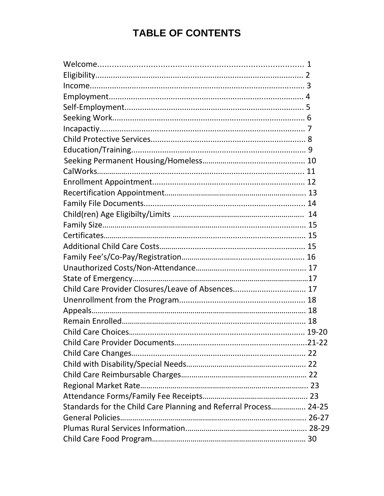# **TABLE OF CONTENTS**

| <b>Child Care Changes</b>                                        |  |
|------------------------------------------------------------------|--|
|                                                                  |  |
|                                                                  |  |
|                                                                  |  |
|                                                                  |  |
| Standards for the Child Care Planning and Referral Process 24-25 |  |
|                                                                  |  |
|                                                                  |  |
|                                                                  |  |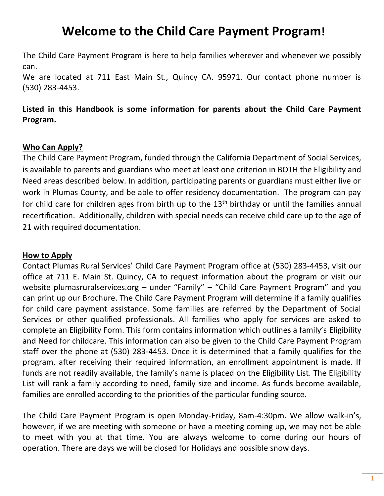# **Welcome to the Child Care Payment Program!**

The Child Care Payment Program is here to help families wherever and whenever we possibly can.

We are located at 711 East Main St., Quincy CA. 95971. Our contact phone number is (530) 283-4453.

#### **Listed in this Handbook is some information for parents about the Child Care Payment Program.**

#### **Who Can Apply?**

The Child Care Payment Program, funded through the California Department of Social Services, is available to parents and guardians who meet at least one criterion in BOTH the Eligibility and Need areas described below. In addition, participating parents or guardians must either live or work in Plumas County, and be able to offer residency documentation. The program can pay for child care for children ages from birth up to the  $13<sup>th</sup>$  birthday or until the families annual recertification. Additionally, children with special needs can receive child care up to the age of 21 with required documentation.

#### **How to Apply**

Contact Plumas Rural Services' Child Care Payment Program office at (530) 283-4453, visit our office at 711 E. Main St. Quincy, CA to request information about the program or visit our website plumasruralservices.org - under "Family" - "Child Care Payment Program" and you can print up our Brochure. The Child Care Payment Program will determine if a family qualifies for child care payment assistance. Some families are referred by the Department of Social Services or other qualified professionals. All families who apply for services are asked to complete an Eligibility Form. This form contains information which outlines a family's Eligibility and Need for childcare. This information can also be given to the Child Care Payment Program staff over the phone at (530) 283-4453. Once it is determined that a family qualifies for the program, after receiving their required information, an enrollment appointment is made. If funds are not readily available, the family's name is placed on the Eligibility List. The Eligibility List will rank a family according to need, family size and income. As funds become available, families are enrolled according to the priorities of the particular funding source.

The Child Care Payment Program is open Monday-Friday, 8am-4:30pm. We allow walk-in's, however, if we are meeting with someone or have a meeting coming up, we may not be able to meet with you at that time. You are always welcome to come during our hours of operation. There are days we will be closed for Holidays and possible snow days.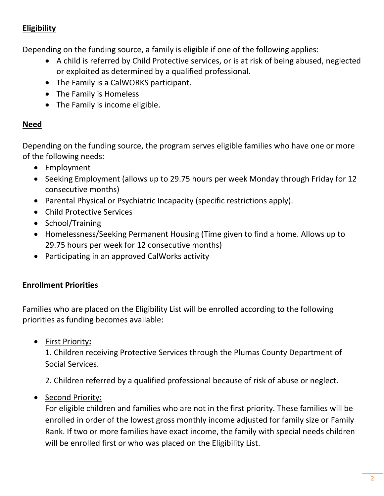#### **Eligibility**

Depending on the funding source, a family is eligible if one of the following applies:

- A child is referred by Child Protective services, or is at risk of being abused, neglected or exploited as determined by a qualified professional.
- The Family is a CalWORKS participant.
- The Family is Homeless
- The Family is income eligible.

#### **Need**

Depending on the funding source, the program serves eligible families who have one or more of the following needs:

- Employment
- Seeking Employment (allows up to 29.75 hours per week Monday through Friday for 12 consecutive months)
- Parental Physical or Psychiatric Incapacity (specific restrictions apply).
- Child Protective Services
- School/Training
- Homelessness/Seeking Permanent Housing (Time given to find a home. Allows up to 29.75 hours per week for 12 consecutive months)
- Participating in an approved CalWorks activity

#### **Enrollment Priorities**

Families who are placed on the Eligibility List will be enrolled according to the following priorities as funding becomes available:

• First Priority**:** 

1. Children receiving Protective Services through the Plumas County Department of Social Services.

2. Children referred by a qualified professional because of risk of abuse or neglect.

• Second Priority:

For eligible children and families who are not in the first priority. These families will be enrolled in order of the lowest gross monthly income adjusted for family size or Family Rank. If two or more families have exact income, the family with special needs children will be enrolled first or who was placed on the Eligibility List.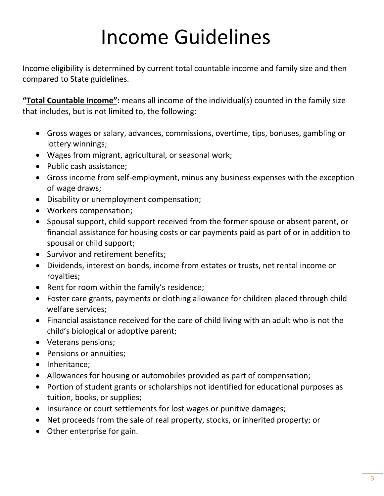# Income Guidelines

Income eligibility is determined by current total countable income and family size and then compared to State guidelines.

**"Total Countable Income":** means all income of the individual(s) counted in the family size that includes, but is not limited to, the following:

- Gross wages or salary, advances, commissions, overtime, tips, bonuses, gambling or lottery winnings;
- Wages from migrant, agricultural, or seasonal work;
- Public cash assistance;
- Gross income from self-employment, minus any business expenses with the exception of wage draws;
- Disability or unemployment compensation;
- Workers compensation;
- Spousal support, child support received from the former spouse or absent parent, or financial assistance for housing costs or car payments paid as part of or in addition to spousal or child support;
- Survivor and retirement benefits;
- Dividends, interest on bonds, income from estates or trusts, net rental income or royalties;
- Rent for room within the family's residence;
- Foster care grants, payments or clothing allowance for children placed through child welfare services;
- Financial assistance received for the care of child living with an adult who is not the child's biological or adoptive parent;
- Veterans pensions;
- Pensions or annuities;
- Inheritance;
- Allowances for housing or automobiles provided as part of compensation;
- Portion of student grants or scholarships not identified for educational purposes as tuition, books, or supplies;
- Insurance or court settlements for lost wages or punitive damages;
- Net proceeds from the sale of real property, stocks, or inherited property; or
- Other enterprise for gain.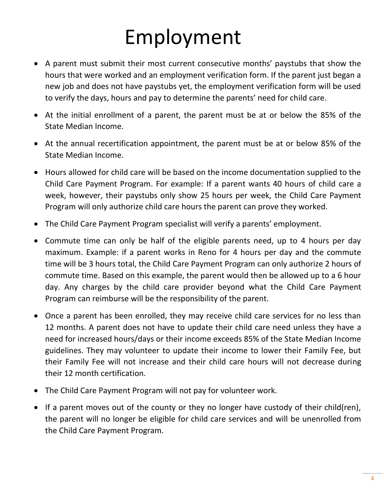# Employment

- A parent must submit their most current consecutive months' paystubs that show the hours that were worked and an employment verification form. If the parent just began a new job and does not have paystubs yet, the employment verification form will be used to verify the days, hours and pay to determine the parents' need for child care.
- At the initial enrollment of a parent, the parent must be at or below the 85% of the State Median Income.
- At the annual recertification appointment, the parent must be at or below 85% of the State Median Income.
- Hours allowed for child care will be based on the income documentation supplied to the Child Care Payment Program. For example: If a parent wants 40 hours of child care a week, however, their paystubs only show 25 hours per week, the Child Care Payment Program will only authorize child care hours the parent can prove they worked.
- The Child Care Payment Program specialist will verify a parents' employment.
- Commute time can only be half of the eligible parents need, up to 4 hours per day maximum. Example: if a parent works in Reno for 4 hours per day and the commute time will be 3 hours total, the Child Care Payment Program can only authorize 2 hours of commute time. Based on this example, the parent would then be allowed up to a 6 hour day. Any charges by the child care provider beyond what the Child Care Payment Program can reimburse will be the responsibility of the parent.
- Once a parent has been enrolled, they may receive child care services for no less than 12 months. A parent does not have to update their child care need unless they have a need for increased hours/days or their income exceeds 85% of the State Median Income guidelines. They may volunteer to update their income to lower their Family Fee, but their Family Fee will not increase and their child care hours will not decrease during their 12 month certification.
- The Child Care Payment Program will not pay for volunteer work.
- If a parent moves out of the county or they no longer have custody of their child(ren), the parent will no longer be eligible for child care services and will be unenrolled from the Child Care Payment Program.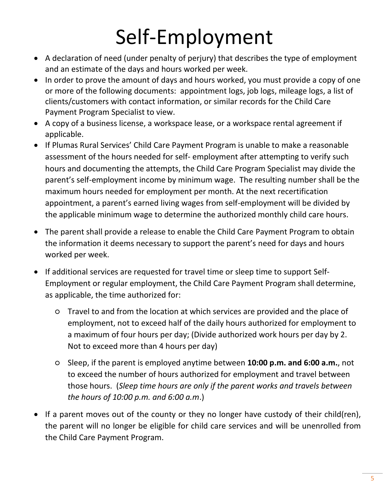# Self-Employment

- A declaration of need (under penalty of perjury) that describes the type of employment and an estimate of the days and hours worked per week.
- In order to prove the amount of days and hours worked, you must provide a copy of one or more of the following documents: appointment logs, job logs, mileage logs, a list of clients/customers with contact information, or similar records for the Child Care Payment Program Specialist to view.
- A copy of a business license, a workspace lease, or a workspace rental agreement if applicable.
- If Plumas Rural Services' Child Care Payment Program is unable to make a reasonable assessment of the hours needed for self- employment after attempting to verify such hours and documenting the attempts, the Child Care Program Specialist may divide the parent's self-employment income by minimum wage. The resulting number shall be the maximum hours needed for employment per month. At the next recertification appointment, a parent's earned living wages from self-employment will be divided by the applicable minimum wage to determine the authorized monthly child care hours.
- The parent shall provide a release to enable the Child Care Payment Program to obtain the information it deems necessary to support the parent's need for days and hours worked per week.
- If additional services are requested for travel time or sleep time to support Self-Employment or regular employment, the Child Care Payment Program shall determine, as applicable, the time authorized for:
	- Travel to and from the location at which services are provided and the place of employment, not to exceed half of the daily hours authorized for employment to a maximum of four hours per day; (Divide authorized work hours per day by 2. Not to exceed more than 4 hours per day)
	- Sleep, if the parent is employed anytime between **10:00 p.m. and 6:00 a.m.**, not to exceed the number of hours authorized for employment and travel between those hours. (*Sleep time hours are only if the parent works and travels between the hours of 10:00 p.m. and 6:00 a.m*.)
- If a parent moves out of the county or they no longer have custody of their child(ren), the parent will no longer be eligible for child care services and will be unenrolled from the Child Care Payment Program.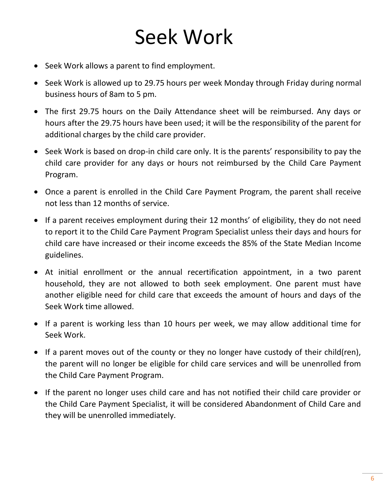# Seek Work

- Seek Work allows a parent to find employment.
- Seek Work is allowed up to 29.75 hours per week Monday through Friday during normal business hours of 8am to 5 pm.
- The first 29.75 hours on the Daily Attendance sheet will be reimbursed. Any days or hours after the 29.75 hours have been used; it will be the responsibility of the parent for additional charges by the child care provider.
- Seek Work is based on drop-in child care only. It is the parents' responsibility to pay the child care provider for any days or hours not reimbursed by the Child Care Payment Program.
- Once a parent is enrolled in the Child Care Payment Program, the parent shall receive not less than 12 months of service.
- If a parent receives employment during their 12 months' of eligibility, they do not need to report it to the Child Care Payment Program Specialist unless their days and hours for child care have increased or their income exceeds the 85% of the State Median Income guidelines.
- At initial enrollment or the annual recertification appointment, in a two parent household, they are not allowed to both seek employment. One parent must have another eligible need for child care that exceeds the amount of hours and days of the Seek Work time allowed.
- If a parent is working less than 10 hours per week, we may allow additional time for Seek Work.
- If a parent moves out of the county or they no longer have custody of their child(ren), the parent will no longer be eligible for child care services and will be unenrolled from the Child Care Payment Program.
- If the parent no longer uses child care and has not notified their child care provider or the Child Care Payment Specialist, it will be considered Abandonment of Child Care and they will be unenrolled immediately.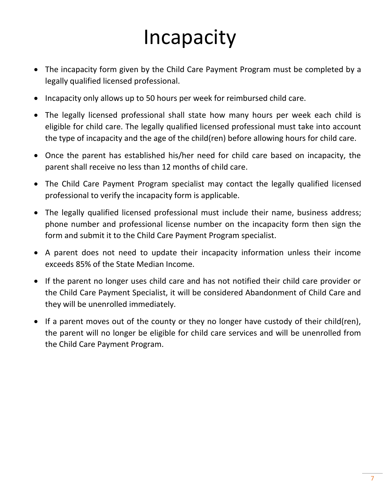# Incapacity

- The incapacity form given by the Child Care Payment Program must be completed by a legally qualified licensed professional.
- Incapacity only allows up to 50 hours per week for reimbursed child care.
- The legally licensed professional shall state how many hours per week each child is eligible for child care. The legally qualified licensed professional must take into account the type of incapacity and the age of the child(ren) before allowing hours for child care.
- Once the parent has established his/her need for child care based on incapacity, the parent shall receive no less than 12 months of child care.
- The Child Care Payment Program specialist may contact the legally qualified licensed professional to verify the incapacity form is applicable.
- The legally qualified licensed professional must include their name, business address; phone number and professional license number on the incapacity form then sign the form and submit it to the Child Care Payment Program specialist.
- A parent does not need to update their incapacity information unless their income exceeds 85% of the State Median Income.
- If the parent no longer uses child care and has not notified their child care provider or the Child Care Payment Specialist, it will be considered Abandonment of Child Care and they will be unenrolled immediately.
- If a parent moves out of the county or they no longer have custody of their child(ren), the parent will no longer be eligible for child care services and will be unenrolled from the Child Care Payment Program.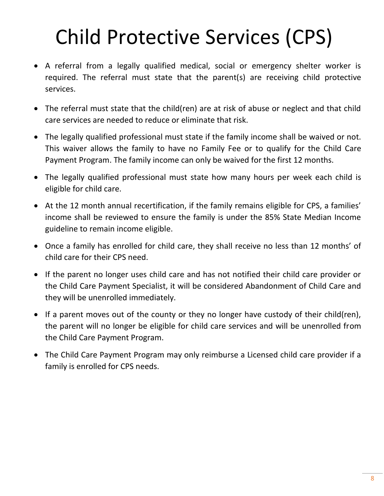# Child Protective Services (CPS)

- A referral from a legally qualified medical, social or emergency shelter worker is required. The referral must state that the parent(s) are receiving child protective services.
- The referral must state that the child(ren) are at risk of abuse or neglect and that child care services are needed to reduce or eliminate that risk.
- The legally qualified professional must state if the family income shall be waived or not. This waiver allows the family to have no Family Fee or to qualify for the Child Care Payment Program. The family income can only be waived for the first 12 months.
- The legally qualified professional must state how many hours per week each child is eligible for child care.
- At the 12 month annual recertification, if the family remains eligible for CPS, a families' income shall be reviewed to ensure the family is under the 85% State Median Income guideline to remain income eligible.
- Once a family has enrolled for child care, they shall receive no less than 12 months' of child care for their CPS need.
- If the parent no longer uses child care and has not notified their child care provider or the Child Care Payment Specialist, it will be considered Abandonment of Child Care and they will be unenrolled immediately.
- If a parent moves out of the county or they no longer have custody of their child(ren), the parent will no longer be eligible for child care services and will be unenrolled from the Child Care Payment Program.
- The Child Care Payment Program may only reimburse a Licensed child care provider if a family is enrolled for CPS needs.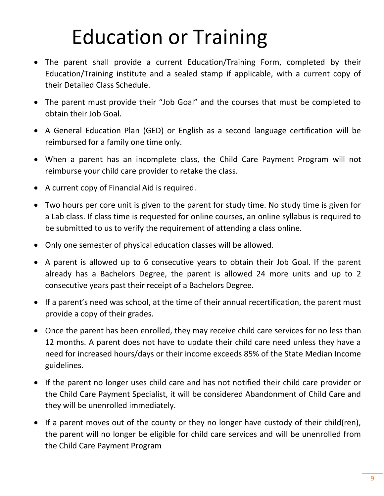# Education or Training

- The parent shall provide a current Education/Training Form, completed by their Education/Training institute and a sealed stamp if applicable, with a current copy of their Detailed Class Schedule.
- The parent must provide their "Job Goal" and the courses that must be completed to obtain their Job Goal.
- A General Education Plan (GED) or English as a second language certification will be reimbursed for a family one time only.
- When a parent has an incomplete class, the Child Care Payment Program will not reimburse your child care provider to retake the class.
- A current copy of Financial Aid is required.
- Two hours per core unit is given to the parent for study time. No study time is given for a Lab class. If class time is requested for online courses, an online syllabus is required to be submitted to us to verify the requirement of attending a class online.
- Only one semester of physical education classes will be allowed.
- A parent is allowed up to 6 consecutive years to obtain their Job Goal. If the parent already has a Bachelors Degree, the parent is allowed 24 more units and up to 2 consecutive years past their receipt of a Bachelors Degree.
- If a parent's need was school, at the time of their annual recertification, the parent must provide a copy of their grades.
- Once the parent has been enrolled, they may receive child care services for no less than 12 months. A parent does not have to update their child care need unless they have a need for increased hours/days or their income exceeds 85% of the State Median Income guidelines.
- If the parent no longer uses child care and has not notified their child care provider or the Child Care Payment Specialist, it will be considered Abandonment of Child Care and they will be unenrolled immediately.
- If a parent moves out of the county or they no longer have custody of their child(ren), the parent will no longer be eligible for child care services and will be unenrolled from the Child Care Payment Program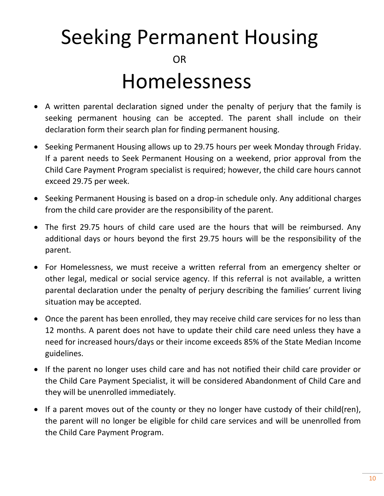# Seeking Permanent Housing

**OR** Homelessness

- A written parental declaration signed under the penalty of perjury that the family is seeking permanent housing can be accepted. The parent shall include on their declaration form their search plan for finding permanent housing.
- Seeking Permanent Housing allows up to 29.75 hours per week Monday through Friday. If a parent needs to Seek Permanent Housing on a weekend, prior approval from the Child Care Payment Program specialist is required; however, the child care hours cannot exceed 29.75 per week.
- Seeking Permanent Housing is based on a drop-in schedule only. Any additional charges from the child care provider are the responsibility of the parent.
- The first 29.75 hours of child care used are the hours that will be reimbursed. Any additional days or hours beyond the first 29.75 hours will be the responsibility of the parent.
- For Homelessness, we must receive a written referral from an emergency shelter or other legal, medical or social service agency. If this referral is not available, a written parental declaration under the penalty of perjury describing the families' current living situation may be accepted.
- Once the parent has been enrolled, they may receive child care services for no less than 12 months. A parent does not have to update their child care need unless they have a need for increased hours/days or their income exceeds 85% of the State Median Income guidelines.
- If the parent no longer uses child care and has not notified their child care provider or the Child Care Payment Specialist, it will be considered Abandonment of Child Care and they will be unenrolled immediately.
- If a parent moves out of the county or they no longer have custody of their child(ren), the parent will no longer be eligible for child care services and will be unenrolled from the Child Care Payment Program.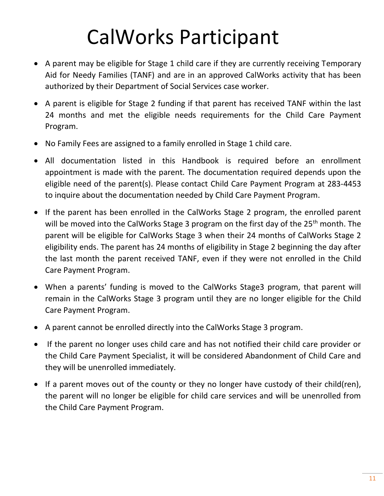# CalWorks Participant

- A parent may be eligible for Stage 1 child care if they are currently receiving Temporary Aid for Needy Families (TANF) and are in an approved CalWorks activity that has been authorized by their Department of Social Services case worker.
- A parent is eligible for Stage 2 funding if that parent has received TANF within the last 24 months and met the eligible needs requirements for the Child Care Payment Program.
- No Family Fees are assigned to a family enrolled in Stage 1 child care.
- All documentation listed in this Handbook is required before an enrollment appointment is made with the parent. The documentation required depends upon the eligible need of the parent(s). Please contact Child Care Payment Program at 283-4453 to inquire about the documentation needed by Child Care Payment Program.
- If the parent has been enrolled in the CalWorks Stage 2 program, the enrolled parent will be moved into the CalWorks Stage 3 program on the first day of the 25<sup>th</sup> month. The parent will be eligible for CalWorks Stage 3 when their 24 months of CalWorks Stage 2 eligibility ends. The parent has 24 months of eligibility in Stage 2 beginning the day after the last month the parent received TANF, even if they were not enrolled in the Child Care Payment Program.
- When a parents' funding is moved to the CalWorks Stage3 program, that parent will remain in the CalWorks Stage 3 program until they are no longer eligible for the Child Care Payment Program.
- A parent cannot be enrolled directly into the CalWorks Stage 3 program.
- If the parent no longer uses child care and has not notified their child care provider or the Child Care Payment Specialist, it will be considered Abandonment of Child Care and they will be unenrolled immediately.
- If a parent moves out of the county or they no longer have custody of their child(ren), the parent will no longer be eligible for child care services and will be unenrolled from the Child Care Payment Program.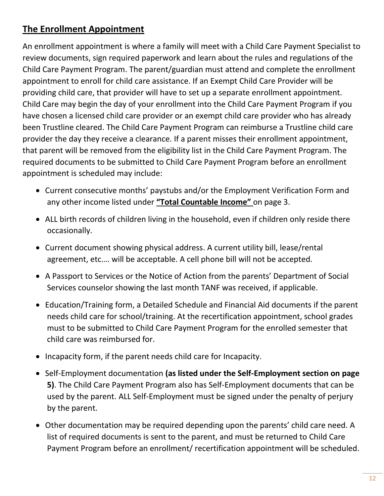### **The Enrollment Appointment**

An enrollment appointment is where a family will meet with a Child Care Payment Specialist to review documents, sign required paperwork and learn about the rules and regulations of the Child Care Payment Program. The parent/guardian must attend and complete the enrollment appointment to enroll for child care assistance. If an Exempt Child Care Provider will be providing child care, that provider will have to set up a separate enrollment appointment. Child Care may begin the day of your enrollment into the Child Care Payment Program if you have chosen a licensed child care provider or an exempt child care provider who has already been Trustline cleared. The Child Care Payment Program can reimburse a Trustline child care provider the day they receive a clearance. If a parent misses their enrollment appointment, that parent will be removed from the eligibility list in the Child Care Payment Program. The required documents to be submitted to Child Care Payment Program before an enrollment appointment is scheduled may include:

- Current consecutive months' paystubs and/or the Employment Verification Form and any other income listed under **"Total Countable Income"** on page 3.
- ALL birth records of children living in the household, even if children only reside there occasionally.
- Current document showing physical address. A current utility bill, lease/rental agreement, etc.… will be acceptable. A cell phone bill will not be accepted.
- A Passport to Services or the Notice of Action from the parents' Department of Social Services counselor showing the last month TANF was received, if applicable.
- Education/Training form, a Detailed Schedule and Financial Aid documents if the parent needs child care for school/training. At the recertification appointment, school grades must to be submitted to Child Care Payment Program for the enrolled semester that child care was reimbursed for.
- Incapacity form, if the parent needs child care for Incapacity.
- Self-Employment documentation **(as listed under the Self-Employment section on page 5)**. The Child Care Payment Program also has Self-Employment documents that can be used by the parent. ALL Self-Employment must be signed under the penalty of perjury by the parent.
- Other documentation may be required depending upon the parents' child care need. A list of required documents is sent to the parent, and must be returned to Child Care Payment Program before an enrollment/ recertification appointment will be scheduled.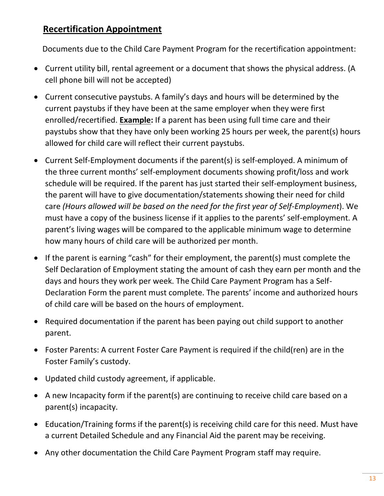#### **Recertification Appointment**

Documents due to the Child Care Payment Program for the recertification appointment:

- Current utility bill, rental agreement or a document that shows the physical address. (A cell phone bill will not be accepted)
- Current consecutive paystubs. A family's days and hours will be determined by the current paystubs if they have been at the same employer when they were first enrolled/recertified. **Example:** If a parent has been using full time care and their paystubs show that they have only been working 25 hours per week, the parent(s) hours allowed for child care will reflect their current paystubs.
- Current Self-Employment documents if the parent(s) is self-employed. A minimum of the three current months' self-employment documents showing profit/loss and work schedule will be required. If the parent has just started their self-employment business, the parent will have to give documentation/statements showing their need for child care *(Hours allowed will be based on the need for the first year of Self-Employment*). We must have a copy of the business license if it applies to the parents' self-employment. A parent's living wages will be compared to the applicable minimum wage to determine how many hours of child care will be authorized per month.
- If the parent is earning "cash" for their employment, the parent(s) must complete the Self Declaration of Employment stating the amount of cash they earn per month and the days and hours they work per week. The Child Care Payment Program has a Self-Declaration Form the parent must complete. The parents' income and authorized hours of child care will be based on the hours of employment.
- Required documentation if the parent has been paying out child support to another parent.
- Foster Parents: A current Foster Care Payment is required if the child(ren) are in the Foster Family's custody.
- Updated child custody agreement, if applicable.
- A new Incapacity form if the parent(s) are continuing to receive child care based on a parent(s) incapacity.
- Education/Training forms if the parent(s) is receiving child care for this need. Must have a current Detailed Schedule and any Financial Aid the parent may be receiving.
- Any other documentation the Child Care Payment Program staff may require.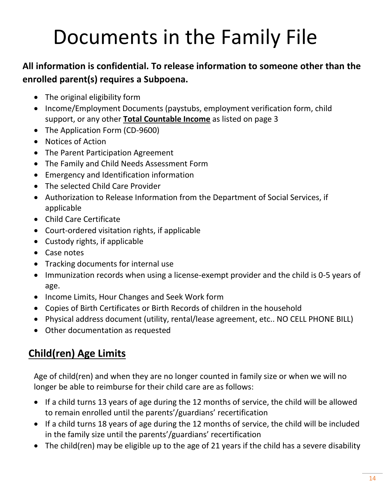# Documents in the Family File

### **All information is confidential. To release information to someone other than the enrolled parent(s) requires a Subpoena.**

- The original eligibility form
- Income/Employment Documents (paystubs, employment verification form, child support, or any other **Total Countable Income** as listed on page 3
- The Application Form (CD-9600)
- Notices of Action
- The Parent Participation Agreement
- The Family and Child Needs Assessment Form
- Emergency and Identification information
- The selected Child Care Provider
- Authorization to Release Information from the Department of Social Services, if applicable
- Child Care Certificate
- Court-ordered visitation rights, if applicable
- Custody rights, if applicable
- Case notes
- Tracking documents for internal use
- Immunization records when using a license-exempt provider and the child is 0-5 years of age.
- Income Limits, Hour Changes and Seek Work form
- Copies of Birth Certificates or Birth Records of children in the household
- Physical address document (utility, rental/lease agreement, etc.. NO CELL PHONE BILL)
- Other documentation as requested

# **Child(ren) Age Limits**

Age of child(ren) and when they are no longer counted in family size or when we will no longer be able to reimburse for their child care are as follows:

- If a child turns 13 years of age during the 12 months of service, the child will be allowed to remain enrolled until the parents'/guardians' recertification
- If a child turns 18 years of age during the 12 months of service, the child will be included in the family size until the parents'/guardians' recertification
- The child(ren) may be eligible up to the age of 21 years if the child has a severe disability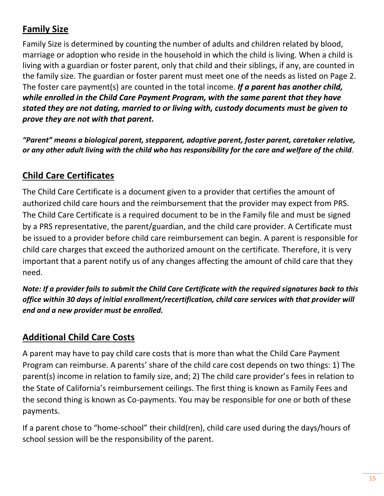### **Family Size**

Family Size is determined by counting the number of adults and children related by blood, marriage or adoption who reside in the household in which the child is living. When a child is living with a guardian or foster parent, only that child and their siblings, if any, are counted in the family size. The guardian or foster parent must meet one of the needs as listed on Page 2. The foster care payment(s) are counted in the total income. *If a parent has another child, while enrolled in the Child Care Payment Program, with the same parent that they have stated they are not dating, married to or living with, custody documents must be given to prove they are not with that parent.*

*"Parent" means a biological parent, stepparent, adoptive parent, foster parent, caretaker relative, or any other adult living with the child who has responsibility for the care and welfare of the child.*

#### **Child Care Certificates**

The Child Care Certificate is a document given to a provider that certifies the amount of authorized child care hours and the reimbursement that the provider may expect from PRS. The Child Care Certificate is a required document to be in the Family file and must be signed by a PRS representative, the parent/guardian, and the child care provider. A Certificate must be issued to a provider before child care reimbursement can begin. A parent is responsible for child care charges that exceed the authorized amount on the certificate*.* Therefore, it is very important that a parent notify us of any changes affecting the amount of child care that they need.

*Note: If a provider fails to submit the Child Care Certificate with the required signatures back to this office within 30 days of initial enrollment/recertification, child care services with that provider will end and a new provider must be enrolled.*

#### **Additional Child Care Costs**

A parent may have to pay child care costs that is more than what the Child Care Payment Program can reimburse. A parents' share of the child care cost depends on two things: 1) The parent(s) income in relation to family size, and; 2) The child care provider's fees in relation to the State of California's reimbursement ceilings. The first thing is known as Family Fees and the second thing is known as Co-payments. You may be responsible for one or both of these payments.

If a parent chose to "home-school" their child(ren), child care used during the days/hours of school session will be the responsibility of the parent.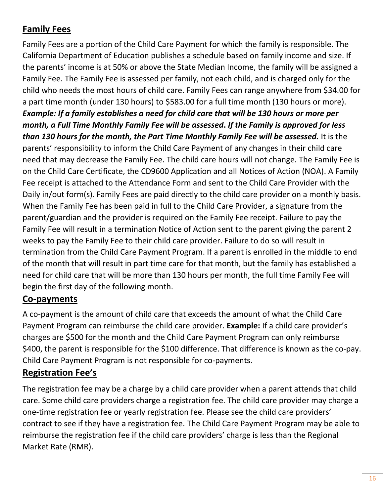### **Family Fees**

Family Fees are a portion of the Child Care Payment for which the family is responsible. The California Department of Education publishes a schedule based on family income and size. If the parents' income is at 50% or above the State Median Income, the family will be assigned a Family Fee. The Family Fee is assessed per family, not each child, and is charged only for the child who needs the most hours of child care. Family Fees can range anywhere from \$34.00 for a part time month (under 130 hours) to \$583.00 for a full time month (130 hours or more). *Example: If a family establishes a need for child care that will be 130 hours or more per month, a Full Time Monthly Family Fee will be assessed***.** *If the Family is approved for less than 130 hours for the month, the Part Time Monthly Family Fee will be assessed.* It is the parents' responsibility to inform the Child Care Payment of any changes in their child care need that may decrease the Family Fee. The child care hours will not change. The Family Fee is on the Child Care Certificate, the CD9600 Application and all Notices of Action (NOA). A Family Fee receipt is attached to the Attendance Form and sent to the Child Care Provider with the Daily in/out form(s). Family Fees are paid directly to the child care provider on a monthly basis. When the Family Fee has been paid in full to the Child Care Provider, a signature from the parent/guardian and the provider is required on the Family Fee receipt. Failure to pay the Family Fee will result in a termination Notice of Action sent to the parent giving the parent 2 weeks to pay the Family Fee to their child care provider. Failure to do so will result in termination from the Child Care Payment Program. If a parent is enrolled in the middle to end of the month that will result in part time care for that month, but the family has established a need for child care that will be more than 130 hours per month, the full time Family Fee will begin the first day of the following month.

#### **Co-payments**

A co-payment is the amount of child care that exceeds the amount of what the Child Care Payment Program can reimburse the child care provider. **Example:** If a child care provider's charges are \$500 for the month and the Child Care Payment Program can only reimburse \$400, the parent is responsible for the \$100 difference. That difference is known as the co-pay. Child Care Payment Program is not responsible for co-payments.

### **Registration Fee's**

The registration fee may be a charge by a child care provider when a parent attends that child care. Some child care providers charge a registration fee. The child care provider may charge a one-time registration fee or yearly registration fee. Please see the child care providers' contract to see if they have a registration fee. The Child Care Payment Program may be able to reimburse the registration fee if the child care providers' charge is less than the Regional Market Rate (RMR).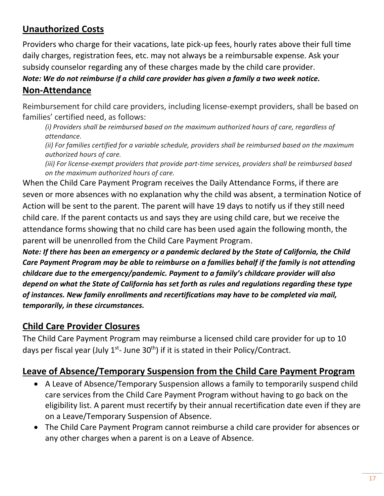### **Unauthorized Costs**

Providers who charge for their vacations, late pick-up fees, hourly rates above their full time daily charges, registration fees, etc. may not always be a reimbursable expense. Ask your subsidy counselor regarding any of these charges made by the child care provider.

*Note: We do not reimburse if a child care provider has given a family a two week notice.* **Non-Attendance**

Reimbursement for child care providers, including license-exempt providers, shall be based on families' certified need, as follows:

*(i) Providers shall be reimbursed based on the maximum authorized hours of care, regardless of attendance.*

*(ii) For families certified for a variable schedule, providers shall be reimbursed based on the maximum authorized hours of care.*

*(iii) For license-exempt providers that provide part-time services, providers shall be reimbursed based on the maximum authorized hours of care.*

When the Child Care Payment Program receives the Daily Attendance Forms, if there are seven or more absences with no explanation why the child was absent, a termination Notice of Action will be sent to the parent. The parent will have 19 days to notify us if they still need child care. If the parent contacts us and says they are using child care, but we receive the attendance forms showing that no child care has been used again the following month, the parent will be unenrolled from the Child Care Payment Program.

*Note: If there has been an emergency or a pandemic declared by the State of California, the Child Care Payment Program may be able to reimburse on a families behalf if the family is not attending childcare due to the emergency/pandemic. Payment to a family's childcare provider will also depend on what the State of California has set forth as rules and regulations regarding these type of instances. New family enrollments and recertifications may have to be completed via mail, temporarily, in these circumstances.*

### **Child Care Provider Closures**

The Child Care Payment Program may reimburse a licensed child care provider for up to 10 days per fiscal year (July 1<sup>st</sup>- June 30<sup>th</sup>) if it is stated in their Policy/Contract.

### **Leave of Absence/Temporary Suspension from the Child Care Payment Program**

- A Leave of Absence/Temporary Suspension allows a family to temporarily suspend child care services from the Child Care Payment Program without having to go back on the eligibility list. A parent must recertify by their annual recertification date even if they are on a Leave/Temporary Suspension of Absence.
- The Child Care Payment Program cannot reimburse a child care provider for absences or any other charges when a parent is on a Leave of Absence.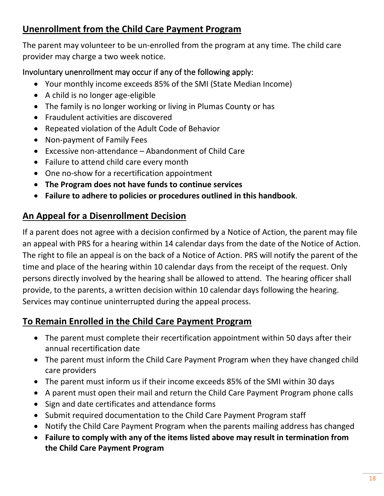### **Unenrollment from the Child Care Payment Program**

The parent may volunteer to be un-enrolled from the program at any time. The child care provider may charge a two week notice.

#### Involuntary unenrollment may occur if any of the following apply:

- Your monthly income exceeds 85% of the SMI (State Median Income)
- A child is no longer age-eligible
- The family is no longer working or living in Plumas County or has
- Fraudulent activities are discovered
- Repeated violation of the Adult Code of Behavior
- Non-payment of Family Fees
- Excessive non-attendance Abandonment of Child Care
- Failure to attend child care every month
- One no-show for a recertification appointment
- **The Program does not have funds to continue services**
- **Failure to adhere to policies or procedures outlined in this handbook**.

### **An Appeal for a Disenrollment Decision**

If a parent does not agree with a decision confirmed by a Notice of Action, the parent may file an appeal with PRS for a hearing within 14 calendar days from the date of the Notice of Action. The right to file an appeal is on the back of a Notice of Action. PRS will notify the parent of the time and place of the hearing within 10 calendar days from the receipt of the request. Only persons directly involved by the hearing shall be allowed to attend. The hearing officer shall provide, to the parents, a written decision within 10 calendar days following the hearing. Services may continue uninterrupted during the appeal process.

### **To Remain Enrolled in the Child Care Payment Program**

- The parent must complete their recertification appointment within 50 days after their annual recertification date
- The parent must inform the Child Care Payment Program when they have changed child care providers
- The parent must inform us if their income exceeds 85% of the SMI within 30 days
- A parent must open their mail and return the Child Care Payment Program phone calls
- Sign and date certificates and attendance forms
- Submit required documentation to the Child Care Payment Program staff
- Notify the Child Care Payment Program when the parents mailing address has changed
- **Failure to comply with any of the items listed above may result in termination from the Child Care Payment Program**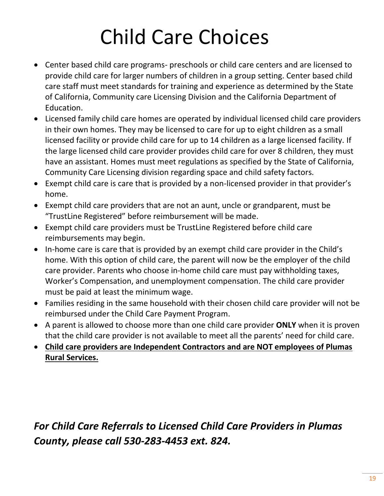# Child Care Choices

- Center based child care programs- preschools or child care centers and are licensed to provide child care for larger numbers of children in a group setting. Center based child care staff must meet standards for training and experience as determined by the State of California, Community care Licensing Division and the California Department of Education.
- Licensed family child care homes are operated by individual licensed child care providers in their own homes. They may be licensed to care for up to eight children as a small licensed facility or provide child care for up to 14 children as a large licensed facility. If the large licensed child care provider provides child care for over 8 children, they must have an assistant. Homes must meet regulations as specified by the State of California, Community Care Licensing division regarding space and child safety factors.
- Exempt child care is care that is provided by a non-licensed provider in that provider's home.
- Exempt child care providers that are not an aunt, uncle or grandparent, must be "TrustLine Registered" before reimbursement will be made.
- Exempt child care providers must be TrustLine Registered before child care reimbursements may begin.
- In-home care is care that is provided by an exempt child care provider in the Child's home. With this option of child care, the parent will now be the employer of the child care provider. Parents who choose in-home child care must pay withholding taxes, Worker's Compensation, and unemployment compensation. The child care provider must be paid at least the minimum wage.
- Families residing in the same household with their chosen child care provider will not be reimbursed under the Child Care Payment Program.
- A parent is allowed to choose more than one child care provider **ONLY** when it is proven that the child care provider is not available to meet all the parents' need for child care.
- **Child care providers are Independent Contractors and are NOT employees of Plumas Rural Services.**

*For Child Care Referrals to Licensed Child Care Providers in Plumas County, please call 530-283-4453 ext. 824.*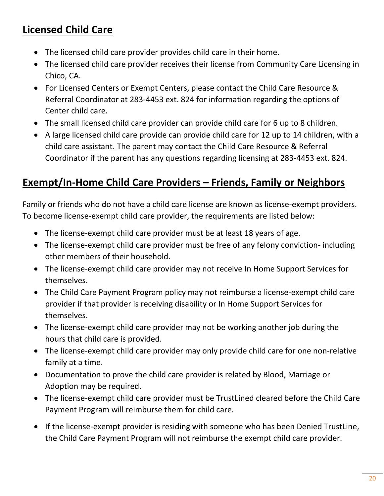# **Licensed Child Care**

- The licensed child care provider provides child care in their home.
- The licensed child care provider receives their license from Community Care Licensing in Chico, CA.
- For Licensed Centers or Exempt Centers, please contact the Child Care Resource & Referral Coordinator at 283-4453 ext. 824 for information regarding the options of Center child care.
- The small licensed child care provider can provide child care for 6 up to 8 children.
- A large licensed child care provide can provide child care for 12 up to 14 children, with a child care assistant. The parent may contact the Child Care Resource & Referral Coordinator if the parent has any questions regarding licensing at 283-4453 ext. 824.

# **Exempt/In-Home Child Care Providers – Friends, Family or Neighbors**

Family or friends who do not have a child care license are known as license-exempt providers. To become license-exempt child care provider, the requirements are listed below:

- The license-exempt child care provider must be at least 18 years of age.
- The license-exempt child care provider must be free of any felony conviction- including other members of their household.
- The license-exempt child care provider may not receive In Home Support Services for themselves.
- The Child Care Payment Program policy may not reimburse a license-exempt child care provider if that provider is receiving disability or In Home Support Services for themselves.
- The license-exempt child care provider may not be working another job during the hours that child care is provided.
- The license-exempt child care provider may only provide child care for one non-relative family at a time.
- Documentation to prove the child care provider is related by Blood, Marriage or Adoption may be required.
- The license-exempt child care provider must be TrustLined cleared before the Child Care Payment Program will reimburse them for child care.
- If the license-exempt provider is residing with someone who has been Denied TrustLine, the Child Care Payment Program will not reimburse the exempt child care provider.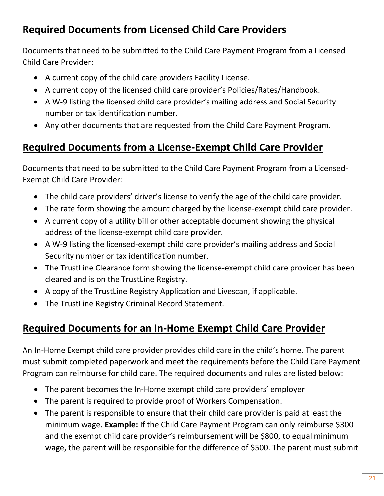# **Required Documents from Licensed Child Care Providers**

Documents that need to be submitted to the Child Care Payment Program from a Licensed Child Care Provider:

- A current copy of the child care providers Facility License.
- A current copy of the licensed child care provider's Policies/Rates/Handbook.
- A W-9 listing the licensed child care provider's mailing address and Social Security number or tax identification number.
- Any other documents that are requested from the Child Care Payment Program.

## **Required Documents from a License-Exempt Child Care Provider**

Documents that need to be submitted to the Child Care Payment Program from a Licensed-Exempt Child Care Provider:

- The child care providers' driver's license to verify the age of the child care provider.
- The rate form showing the amount charged by the license-exempt child care provider.
- A current copy of a utility bill or other acceptable document showing the physical address of the license-exempt child care provider.
- A W-9 listing the licensed-exempt child care provider's mailing address and Social Security number or tax identification number.
- The TrustLine Clearance form showing the license-exempt child care provider has been cleared and is on the TrustLine Registry.
- A copy of the TrustLine Registry Application and Livescan, if applicable.
- The TrustLine Registry Criminal Record Statement.

# **Required Documents for an In-Home Exempt Child Care Provider**

An In-Home Exempt child care provider provides child care in the child's home. The parent must submit completed paperwork and meet the requirements before the Child Care Payment Program can reimburse for child care. The required documents and rules are listed below:

- The parent becomes the In-Home exempt child care providers' employer
- The parent is required to provide proof of Workers Compensation.
- The parent is responsible to ensure that their child care provider is paid at least the minimum wage. **Example:** If the Child Care Payment Program can only reimburse \$300 and the exempt child care provider's reimbursement will be \$800, to equal minimum wage, the parent will be responsible for the difference of \$500. The parent must submit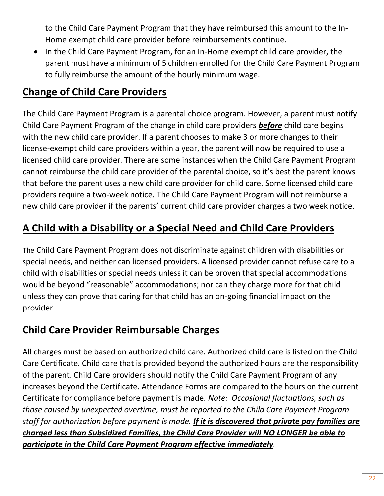to the Child Care Payment Program that they have reimbursed this amount to the In-Home exempt child care provider before reimbursements continue.

• In the Child Care Payment Program, for an In-Home exempt child care provider, the parent must have a minimum of 5 children enrolled for the Child Care Payment Program to fully reimburse the amount of the hourly minimum wage.

# **Change of Child Care Providers**

The Child Care Payment Program is a parental choice program. However, a parent must notify Child Care Payment Program of the change in child care providers *before* child care begins with the new child care provider. If a parent chooses to make 3 or more changes to their license-exempt child care providers within a year, the parent will now be required to use a licensed child care provider. There are some instances when the Child Care Payment Program cannot reimburse the child care provider of the parental choice, so it's best the parent knows that before the parent uses a new child care provider for child care. Some licensed child care providers require a two-week notice. The Child Care Payment Program will not reimburse a new child care provider if the parents' current child care provider charges a two week notice.

# **A Child with a Disability or a Special Need and Child Care Providers**

The Child Care Payment Program does not discriminate against children with disabilities or special needs, and neither can licensed providers. A licensed provider cannot refuse care to a child with disabilities or special needs unless it can be proven that special accommodations would be beyond "reasonable" accommodations; nor can they charge more for that child unless they can prove that caring for that child has an on-going financial impact on the provider.

### **Child Care Provider Reimbursable Charges**

All charges must be based on authorized child care. Authorized child care is listed on the Child Care Certificate. Child care that is provided beyond the authorized hours are the responsibility of the parent. Child Care providers should notify the Child Care Payment Program of any increases beyond the Certificate. Attendance Forms are compared to the hours on the current Certificate for compliance before payment is made. *Note: Occasional fluctuations, such as those caused by unexpected overtime, must be reported to the Child Care Payment Program staff for authorization before payment is made. If it is discovered that private pay families are charged less than Subsidized Families, the Child Care Provider will NO LONGER be able to participate in the Child Care Payment Program effective immediately.*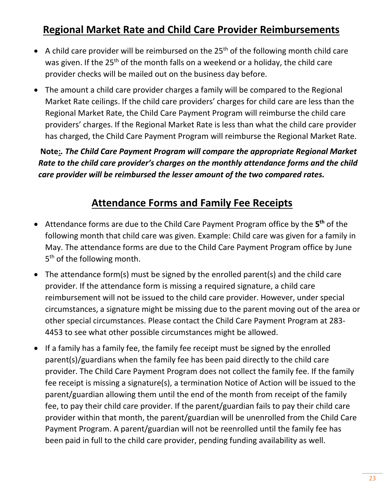### **Regional Market Rate and Child Care Provider Reimbursements**

- A child care provider will be reimbursed on the  $25<sup>th</sup>$  of the following month child care was given. If the 25<sup>th</sup> of the month falls on a weekend or a holiday, the child care provider checks will be mailed out on the business day before.
- The amount a child care provider charges a family will be compared to the Regional Market Rate ceilings. If the child care providers' charges for child care are less than the Regional Market Rate, the Child Care Payment Program will reimburse the child care providers' charges. If the Regional Market Rate is less than what the child care provider has charged, the Child Care Payment Program will reimburse the Regional Market Rate.

 **Note:***. The Child Care Payment Program will compare the appropriate Regional Market Rate to the child care provider's charges on the monthly attendance forms and the child care provider will be reimbursed the lesser amount of the two compared rates.*

### **Attendance Forms and Family Fee Receipts**

- Attendance forms are due to the Child Care Payment Program office by the 5<sup>th</sup> of the following month that child care was given. Example: Child care was given for a family in May. The attendance forms are due to the Child Care Payment Program office by June 5<sup>th</sup> of the following month.
- The attendance form(s) must be signed by the enrolled parent(s) and the child care provider. If the attendance form is missing a required signature, a child care reimbursement will not be issued to the child care provider. However, under special circumstances, a signature might be missing due to the parent moving out of the area or other special circumstances. Please contact the Child Care Payment Program at 283- 4453 to see what other possible circumstances might be allowed.
- If a family has a family fee, the family fee receipt must be signed by the enrolled parent(s)/guardians when the family fee has been paid directly to the child care provider. The Child Care Payment Program does not collect the family fee. If the family fee receipt is missing a signature(s), a termination Notice of Action will be issued to the parent/guardian allowing them until the end of the month from receipt of the family fee, to pay their child care provider. If the parent/guardian fails to pay their child care provider within that month, the parent/guardian will be unenrolled from the Child Care Payment Program. A parent/guardian will not be reenrolled until the family fee has been paid in full to the child care provider, pending funding availability as well.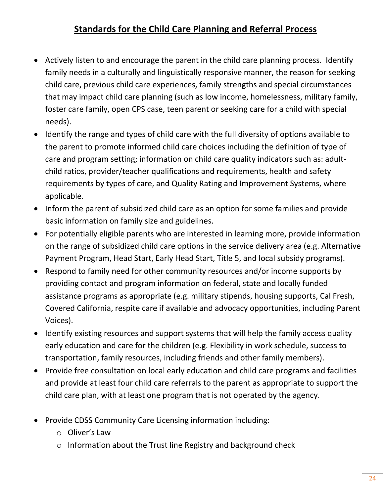### **Standards for the Child Care Planning and Referral Process**

- Actively listen to and encourage the parent in the child care planning process. Identify family needs in a culturally and linguistically responsive manner, the reason for seeking child care, previous child care experiences, family strengths and special circumstances that may impact child care planning (such as low income, homelessness, military family, foster care family, open CPS case, teen parent or seeking care for a child with special needs).
- Identify the range and types of child care with the full diversity of options available to the parent to promote informed child care choices including the definition of type of care and program setting; information on child care quality indicators such as: adultchild ratios, provider/teacher qualifications and requirements, health and safety requirements by types of care, and Quality Rating and Improvement Systems, where applicable.
- Inform the parent of subsidized child care as an option for some families and provide basic information on family size and guidelines.
- For potentially eligible parents who are interested in learning more, provide information on the range of subsidized child care options in the service delivery area (e.g. Alternative Payment Program, Head Start, Early Head Start, Title 5, and local subsidy programs).
- Respond to family need for other community resources and/or income supports by providing contact and program information on federal, state and locally funded assistance programs as appropriate (e.g. military stipends, housing supports, Cal Fresh, Covered California, respite care if available and advocacy opportunities, including Parent Voices).
- Identify existing resources and support systems that will help the family access quality early education and care for the children (e.g. Flexibility in work schedule, success to transportation, family resources, including friends and other family members).
- Provide free consultation on local early education and child care programs and facilities and provide at least four child care referrals to the parent as appropriate to support the child care plan, with at least one program that is not operated by the agency.
- Provide CDSS Community Care Licensing information including:
	- o Oliver's Law
	- o Information about the Trust line Registry and background check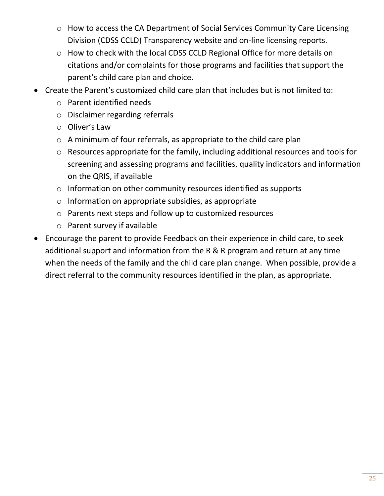- o How to access the CA Department of Social Services Community Care Licensing Division (CDSS CCLD) Transparency website and on-line licensing reports.
- o How to check with the local CDSS CCLD Regional Office for more details on citations and/or complaints for those programs and facilities that support the parent's child care plan and choice.
- Create the Parent's customized child care plan that includes but is not limited to:
	- o Parent identified needs
	- o Disclaimer regarding referrals
	- o Oliver's Law
	- o A minimum of four referrals, as appropriate to the child care plan
	- o Resources appropriate for the family, including additional resources and tools for screening and assessing programs and facilities, quality indicators and information on the QRIS, if available
	- o Information on other community resources identified as supports
	- o Information on appropriate subsidies, as appropriate
	- o Parents next steps and follow up to customized resources
	- o Parent survey if available
- Encourage the parent to provide Feedback on their experience in child care, to seek additional support and information from the R & R program and return at any time when the needs of the family and the child care plan change. When possible, provide a direct referral to the community resources identified in the plan, as appropriate.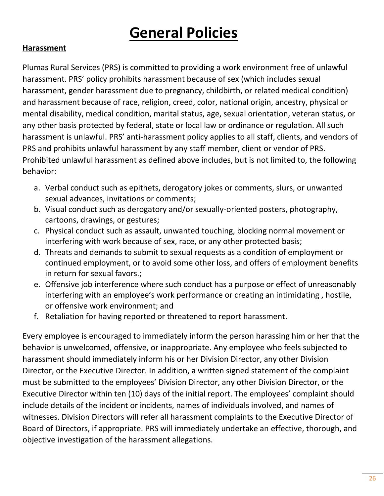# **General Policies**

#### **Harassment**

Plumas Rural Services (PRS) is committed to providing a work environment free of unlawful harassment. PRS' policy prohibits harassment because of sex (which includes sexual harassment, gender harassment due to pregnancy, childbirth, or related medical condition) and harassment because of race, religion, creed, color, national origin, ancestry, physical or mental disability, medical condition, marital status, age, sexual orientation, veteran status, or any other basis protected by federal, state or local law or ordinance or regulation. All such harassment is unlawful. PRS' anti-harassment policy applies to all staff, clients, and vendors of PRS and prohibits unlawful harassment by any staff member, client or vendor of PRS. Prohibited unlawful harassment as defined above includes, but is not limited to, the following behavior:

- a. Verbal conduct such as epithets, derogatory jokes or comments, slurs, or unwanted sexual advances, invitations or comments;
- b. Visual conduct such as derogatory and/or sexually-oriented posters, photography, cartoons, drawings, or gestures;
- c. Physical conduct such as assault, unwanted touching, blocking normal movement or interfering with work because of sex, race, or any other protected basis;
- d. Threats and demands to submit to sexual requests as a condition of employment or continued employment, or to avoid some other loss, and offers of employment benefits in return for sexual favors.;
- e. Offensive job interference where such conduct has a purpose or effect of unreasonably interfering with an employee's work performance or creating an intimidating , hostile, or offensive work environment; and
- f. Retaliation for having reported or threatened to report harassment.

Every employee is encouraged to immediately inform the person harassing him or her that the behavior is unwelcomed, offensive, or inappropriate. Any employee who feels subjected to harassment should immediately inform his or her Division Director, any other Division Director, or the Executive Director. In addition, a written signed statement of the complaint must be submitted to the employees' Division Director, any other Division Director, or the Executive Director within ten (10) days of the initial report. The employees' complaint should include details of the incident or incidents, names of individuals involved, and names of witnesses. Division Directors will refer all harassment complaints to the Executive Director of Board of Directors, if appropriate. PRS will immediately undertake an effective, thorough, and objective investigation of the harassment allegations.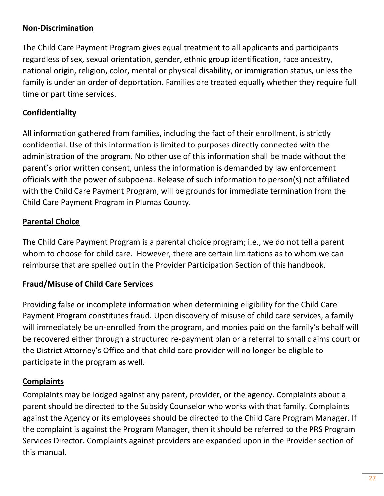#### **Non-Discrimination**

The Child Care Payment Program gives equal treatment to all applicants and participants regardless of sex, sexual orientation, gender, ethnic group identification, race ancestry, national origin, religion, color, mental or physical disability, or immigration status, unless the family is under an order of deportation. Families are treated equally whether they require full time or part time services.

#### **Confidentiality**

All information gathered from families, including the fact of their enrollment, is strictly confidential. Use of this information is limited to purposes directly connected with the administration of the program. No other use of this information shall be made without the parent's prior written consent, unless the information is demanded by law enforcement officials with the power of subpoena. Release of such information to person(s) not affiliated with the Child Care Payment Program, will be grounds for immediate termination from the Child Care Payment Program in Plumas County.

#### **Parental Choice**

The Child Care Payment Program is a parental choice program; i.e., we do not tell a parent whom to choose for child care. However, there are certain limitations as to whom we can reimburse that are spelled out in the Provider Participation Section of this handbook.

#### **Fraud/Misuse of Child Care Services**

Providing false or incomplete information when determining eligibility for the Child Care Payment Program constitutes fraud. Upon discovery of misuse of child care services, a family will immediately be un-enrolled from the program, and monies paid on the family's behalf will be recovered either through a structured re-payment plan or a referral to small claims court or the District Attorney's Office and that child care provider will no longer be eligible to participate in the program as well.

#### **Complaints**

Complaints may be lodged against any parent, provider, or the agency. Complaints about a parent should be directed to the Subsidy Counselor who works with that family. Complaints against the Agency or its employees should be directed to the Child Care Program Manager. If the complaint is against the Program Manager, then it should be referred to the PRS Program Services Director. Complaints against providers are expanded upon in the Provider section of this manual.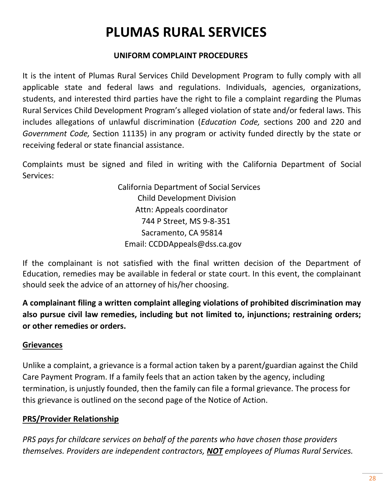# **PLUMAS RURAL SERVICES**

#### **UNIFORM COMPLAINT PROCEDURES**

It is the intent of Plumas Rural Services Child Development Program to fully comply with all applicable state and federal laws and regulations. Individuals, agencies, organizations, students, and interested third parties have the right to file a complaint regarding the Plumas Rural Services Child Development Program's alleged violation of state and/or federal laws. This includes allegations of unlawful discrimination (*Education Code,* sections 200 and 220 and *Government Code,* Section 11135) in any program or activity funded directly by the state or receiving federal or state financial assistance.

Complaints must be signed and filed in writing with the California Department of Social Services:

> California Department of Social Services Child Development Division Attn: Appeals coordinator 744 P Street, MS 9-8-351 Sacramento, CA 95814 Email: CCDDAppeals@dss.ca.gov

If the complainant is not satisfied with the final written decision of the Department of Education, remedies may be available in federal or state court. In this event, the complainant should seek the advice of an attorney of his/her choosing.

**A complainant filing a written complaint alleging violations of prohibited discrimination may also pursue civil law remedies, including but not limited to, injunctions; restraining orders; or other remedies or orders.**

#### **Grievances**

Unlike a complaint, a grievance is a formal action taken by a parent/guardian against the Child Care Payment Program. If a family feels that an action taken by the agency, including termination, is unjustly founded, then the family can file a formal grievance. The process for this grievance is outlined on the second page of the Notice of Action.

#### **PRS/Provider Relationship**

*PRS pays for childcare services on behalf of the parents who have chosen those providers themselves. Providers are independent contractors, NOT employees of Plumas Rural Services.*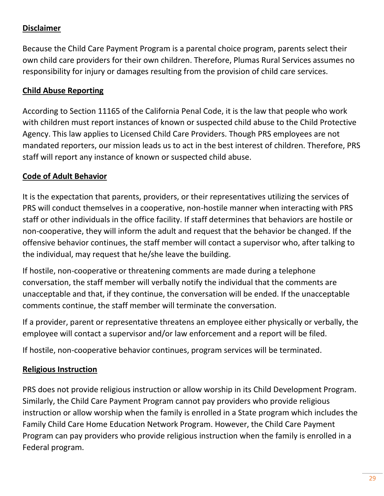#### **Disclaimer**

Because the Child Care Payment Program is a parental choice program, parents select their own child care providers for their own children. Therefore, Plumas Rural Services assumes no responsibility for injury or damages resulting from the provision of child care services.

#### **Child Abuse Reporting**

According to Section 11165 of the California Penal Code, it is the law that people who work with children must report instances of known or suspected child abuse to the Child Protective Agency. This law applies to Licensed Child Care Providers. Though PRS employees are not mandated reporters, our mission leads us to act in the best interest of children. Therefore, PRS staff will report any instance of known or suspected child abuse.

#### **Code of Adult Behavior**

It is the expectation that parents, providers, or their representatives utilizing the services of PRS will conduct themselves in a cooperative, non-hostile manner when interacting with PRS staff or other individuals in the office facility. If staff determines that behaviors are hostile or non-cooperative, they will inform the adult and request that the behavior be changed. If the offensive behavior continues, the staff member will contact a supervisor who, after talking to the individual, may request that he/she leave the building.

If hostile, non-cooperative or threatening comments are made during a telephone conversation, the staff member will verbally notify the individual that the comments are unacceptable and that, if they continue, the conversation will be ended. If the unacceptable comments continue, the staff member will terminate the conversation.

If a provider, parent or representative threatens an employee either physically or verbally, the employee will contact a supervisor and/or law enforcement and a report will be filed.

If hostile, non-cooperative behavior continues, program services will be terminated.

#### **Religious Instruction**

PRS does not provide religious instruction or allow worship in its Child Development Program. Similarly, the Child Care Payment Program cannot pay providers who provide religious instruction or allow worship when the family is enrolled in a State program which includes the Family Child Care Home Education Network Program. However, the Child Care Payment Program can pay providers who provide religious instruction when the family is enrolled in a Federal program.